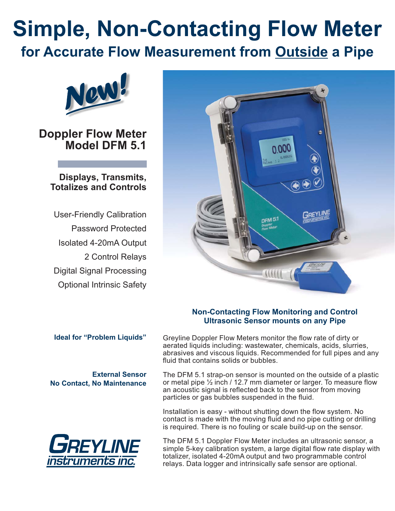# **Simple, Non-Contacting Flow Meter for Accurate Flow Measurement from Outside a Pipe**



**Doppler Flow Meter Model DFM 5.1**

> **Displays, Transmits, Totalizes and Controls**

User-Friendly Calibration Password Protected Isolated 4-20mA Output 2 Control Relays Digital Signal Processing Optional Intrinsic Safety



#### **Non-Contacting Flow Monitoring and Control Ultrasonic Sensor mounts on any Pipe**

**Ideal for "Problem Liquids"**

**External Sensor No Contact, No Maintenance**

GREYLINE instruments inc.

Greyline Doppler Flow Meters monitor the flow rate of dirty or aerated liquids including: wastewater, chemicals, acids, slurries, abrasives and viscous liquids. Recommended for full pipes and any fluid that contains solids or bubbles.

The DFM 5.1 strap-on sensor is mounted on the outside of a plastic or metal pipe ½ inch / 12.7 mm diameter or larger. To measure flow an acoustic signal is reflected back to the sensor from moving particles or gas bubbles suspended in the fluid.

Installation is easy - without shutting down the flow system. No contact is made with the moving fluid and no pipe cutting or drilling is required. There is no fouling or scale build-up on the sensor.

The DFM 5.1 Doppler Flow Meter includes an ultrasonic sensor, a simple 5-key calibration system, a large digital flow rate display with totalizer, isolated 4-20mA output and two programmable control relays. Data logger and intrinsically safe sensor are optional.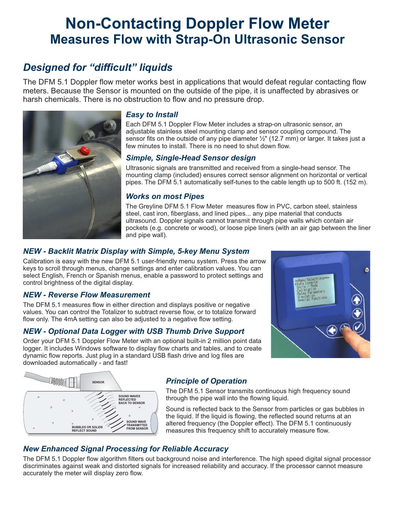# **Non-Contacting Doppler Flow Meter Measures Flow with Strap-On Ultrasonic Sensor**

# *Designed for "difficult" liquids*

The DFM 5.1 Doppler flow meter works best in applications that would defeat regular contacting flow meters. Because the Sensor is mounted on the outside of the pipe, it is unaffected by abrasives or harsh chemicals. There is no obstruction to flow and no pressure drop.



#### *Easy to Install*

Each DFM 5.1 Doppler Flow Meter includes a strap-on ultrasonic sensor, an adjustable stainless steel mounting clamp and sensor coupling compound. The sensor fits on the outside of any pipe diameter  $\frac{1}{2}$ " (12.7 mm) or larger. It takes just a few minutes to install. There is no need to shut down flow.

### *Simple, Single-Head Sensor design*

Ultrasonic signals are transmitted and received from a single-head sensor. The mounting clamp (included) ensures correct sensor alignment on horizontal or vertical pipes. The DFM 5.1 automatically self-tunes to the cable length up to 500 ft. (152 m).

#### *Works on most Pipes*

The Greyline DFM 5.1 Flow Meter measures flow in PVC, carbon steel, stainless steel, cast iron, fiberglass, and lined pipes... any pipe material that conducts ultrasound. Doppler signals cannot transmit through pipe walls which contain air pockets (e.g. concrete or wood), or loose pipe liners (with an air gap between the liner and pipe wall).

### *NEW - Backlit Matrix Display with Simple, 5-key Menu System*

Calibration is easy with the new DFM 5.1 user-friendly menu system. Press the arrow keys to scroll through menus, change settings and enter calibration values. You can select English, French or Spanish menus, enable a password to protect settings and control brightness of the digital display.

#### *NEW - Reverse Flow Measurement*

The DFM 5.1 measures flow in either direction and displays positive or negative values. You can control the Totalizer to subtract reverse flow, or to totalize forward flow only. The 4mA setting can also be adjusted to a negative flow setting.

# *NEW - Optional Data Logger with USB Thumb Drive Support*

Order your DFM 5.1 Doppler Flow Meter with an optional built-in 2 million point data logger. It includes Windows software to display flow charts and tables, and to create dynamic flow reports. Just plug in a standard USB flash drive and log files are downloaded automatically - and fast!





## *Principle of Operation*

The DFM 5.1 Sensor transmits continuous high frequency sound through the pipe wall into the flowing liquid.

Sound is reflected back to the Sensor from particles or gas bubbles in the liquid. If the liquid is flowing, the reflected sound returns at an altered frequency (the Doppler effect). The DFM 5.1 continuously measures this frequency shift to accurately measure flow.

## *New Enhanced Signal Processing for Reliable Accuracy*

The DFM 5.1 Doppler flow algorithm filters out background noise and interference. The high speed digital signal processor discriminates against weak and distorted signals for increased reliability and accuracy. If the processor cannot measure accurately the meter will display zero flow.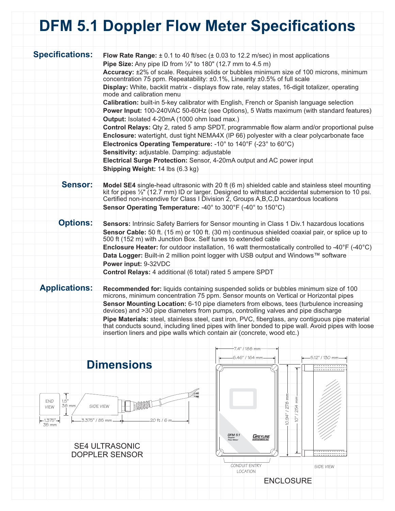# **DFM 5.1 Doppler Flow Meter Specifications**

|  | <b>Specifications:</b>                                                             | <b>Pipe Size:</b> Any pipe ID from $\frac{1}{2}$ " to 180" (12.7 mm to 4.5 m)                                                                                                                                                                               | Flow Rate Range: $\pm$ 0.1 to 40 ft/sec ( $\pm$ 0.03 to 12.2 m/sec) in most applications                                                                                    |                                                                                                  |  |
|--|------------------------------------------------------------------------------------|-------------------------------------------------------------------------------------------------------------------------------------------------------------------------------------------------------------------------------------------------------------|-----------------------------------------------------------------------------------------------------------------------------------------------------------------------------|--------------------------------------------------------------------------------------------------|--|
|  |                                                                                    |                                                                                                                                                                                                                                                             | concentration 75 ppm. Repeatability: ±0.1%, Linearity ±0.5% of full scale                                                                                                   | Accuracy: ±2% of scale. Requires solids or bubbles minimum size of 100 microns, minimum          |  |
|  |                                                                                    |                                                                                                                                                                                                                                                             | Display: White, backlit matrix - displays flow rate, relay states, 16-digit totalizer, operating                                                                            |                                                                                                  |  |
|  | mode and calibration menu                                                          |                                                                                                                                                                                                                                                             |                                                                                                                                                                             |                                                                                                  |  |
|  |                                                                                    |                                                                                                                                                                                                                                                             |                                                                                                                                                                             | <b>Calibration:</b> built-in 5-key calibrator with English, French or Spanish language selection |  |
|  |                                                                                    | Power Input: 100-240VAC 50-60Hz (see Options), 5 Watts maximum (with standard features)<br>Output: Isolated 4-20mA (1000 ohm load max.)                                                                                                                     |                                                                                                                                                                             |                                                                                                  |  |
|  |                                                                                    |                                                                                                                                                                                                                                                             |                                                                                                                                                                             |                                                                                                  |  |
|  |                                                                                    | Control Relays: Qty 2, rated 5 amp SPDT, programmable flow alarm and/or proportional pulse<br>Enclosure: watertight, dust tight NEMA4X (IP 66) polyester with a clear polycarbonate face<br>Electronics Operating Temperature: -10° to 140°F (-23° to 60°C) |                                                                                                                                                                             |                                                                                                  |  |
|  |                                                                                    |                                                                                                                                                                                                                                                             |                                                                                                                                                                             |                                                                                                  |  |
|  |                                                                                    | Sensitivity: adjustable. Damping: adjustable                                                                                                                                                                                                                |                                                                                                                                                                             |                                                                                                  |  |
|  |                                                                                    |                                                                                                                                                                                                                                                             | Electrical Surge Protection: Sensor, 4-20mA output and AC power input                                                                                                       |                                                                                                  |  |
|  |                                                                                    | Shipping Weight: 14 lbs (6.3 kg)                                                                                                                                                                                                                            |                                                                                                                                                                             |                                                                                                  |  |
|  |                                                                                    |                                                                                                                                                                                                                                                             |                                                                                                                                                                             |                                                                                                  |  |
|  | Sensor:                                                                            |                                                                                                                                                                                                                                                             | Model SE4 single-head ultrasonic with 20 ft (6 m) shielded cable and stainless steel mounting                                                                               |                                                                                                  |  |
|  |                                                                                    |                                                                                                                                                                                                                                                             | kit for pipes 1/2" (12.7 mm) ID or larger. Designed to withstand accidental submersion to 10 psi.                                                                           |                                                                                                  |  |
|  |                                                                                    |                                                                                                                                                                                                                                                             | Certified non-incendive for Class   Division 2, Groups A,B,C,D hazardous locations                                                                                          |                                                                                                  |  |
|  |                                                                                    |                                                                                                                                                                                                                                                             | Sensor Operating Temperature: -40° to 300°F (-40° to 150°C)                                                                                                                 |                                                                                                  |  |
|  |                                                                                    |                                                                                                                                                                                                                                                             |                                                                                                                                                                             |                                                                                                  |  |
|  | <b>Options:</b>                                                                    |                                                                                                                                                                                                                                                             | Sensors: Intrinsic Safety Barriers for Sensor mounting in Class 1 Div.1 hazardous locations                                                                                 |                                                                                                  |  |
|  |                                                                                    |                                                                                                                                                                                                                                                             | Sensor Cable: 50 ft. (15 m) or 100 ft. (30 m) continuous shielded coaxial pair, or splice up to                                                                             |                                                                                                  |  |
|  |                                                                                    | 500 ft (152 m) with Junction Box. Self tunes to extended cable                                                                                                                                                                                              |                                                                                                                                                                             |                                                                                                  |  |
|  | Data Logger: Built-in 2 million point logger with USB output and Windows™ software |                                                                                                                                                                                                                                                             | Enclosure Heater: for outdoor installation, 16 watt thermostatically controlled to -40°F (-40°C)                                                                            |                                                                                                  |  |
|  |                                                                                    |                                                                                                                                                                                                                                                             |                                                                                                                                                                             |                                                                                                  |  |
|  |                                                                                    | Power input: 9-32VDC                                                                                                                                                                                                                                        |                                                                                                                                                                             |                                                                                                  |  |
|  |                                                                                    | Control Relays: 4 additional (6 total) rated 5 ampere SPDT                                                                                                                                                                                                  |                                                                                                                                                                             |                                                                                                  |  |
|  | <b>Applications:</b>                                                               |                                                                                                                                                                                                                                                             |                                                                                                                                                                             |                                                                                                  |  |
|  |                                                                                    |                                                                                                                                                                                                                                                             | Recommended for: liquids containing suspended solids or bubbles minimum size of 100<br>microns, minimum concentration 75 ppm. Sensor mounts on Vertical or Horizontal pipes |                                                                                                  |  |
|  |                                                                                    |                                                                                                                                                                                                                                                             | Sensor Mounting Location: 6-10 pipe diameters from elbows, tees (turbulence increasing                                                                                      |                                                                                                  |  |
|  |                                                                                    |                                                                                                                                                                                                                                                             | devices) and >30 pipe diameters from pumps, controlling valves and pipe discharge                                                                                           |                                                                                                  |  |
|  |                                                                                    |                                                                                                                                                                                                                                                             | Pipe Materials: steel, stainless steel, cast iron, PVC, fiberglass, any contiguous pipe material                                                                            |                                                                                                  |  |
|  |                                                                                    |                                                                                                                                                                                                                                                             | that conducts sound, including lined pipes with liner bonded to pipe wall. Avoid pipes with loose                                                                           |                                                                                                  |  |
|  |                                                                                    |                                                                                                                                                                                                                                                             | insertion liners and pipe walls which contain air (concrete, wood etc.)                                                                                                     |                                                                                                  |  |
|  |                                                                                    |                                                                                                                                                                                                                                                             | 7.4" / 188 mm                                                                                                                                                               |                                                                                                  |  |
|  |                                                                                    |                                                                                                                                                                                                                                                             |                                                                                                                                                                             |                                                                                                  |  |
|  |                                                                                    | <b>Dimensions</b>                                                                                                                                                                                                                                           | $-6.46$ " / 164 mm $-$                                                                                                                                                      | -5.12" / 130 mm-                                                                                 |  |
|  |                                                                                    |                                                                                                                                                                                                                                                             |                                                                                                                                                                             |                                                                                                  |  |
|  |                                                                                    |                                                                                                                                                                                                                                                             |                                                                                                                                                                             |                                                                                                  |  |
|  |                                                                                    |                                                                                                                                                                                                                                                             |                                                                                                                                                                             |                                                                                                  |  |
|  |                                                                                    |                                                                                                                                                                                                                                                             | be<br>щu                                                                                                                                                                    |                                                                                                  |  |
|  | 1.5"<br><b>END</b><br>38 mm<br><b>VIEW</b>                                         | SIDE VIEW                                                                                                                                                                                                                                                   | щщ<br>$\infty$<br>27.                                                                                                                                                       |                                                                                                  |  |
|  | ≛                                                                                  |                                                                                                                                                                                                                                                             | $10''$ / 254<br>$\overline{\phantom{0}}$<br>-16                                                                                                                             |                                                                                                  |  |
|  | 3.375" / 85 mm<br>$-1.375" \rightarrow$<br>35 mm                                   | 20 ft / 6 m-                                                                                                                                                                                                                                                | $\bar{\circ}$                                                                                                                                                               |                                                                                                  |  |
|  |                                                                                    |                                                                                                                                                                                                                                                             |                                                                                                                                                                             |                                                                                                  |  |
|  |                                                                                    |                                                                                                                                                                                                                                                             | <b>DFM 5.1</b><br>GREYLINE<br>Doppler<br>Flow Mete                                                                                                                          |                                                                                                  |  |
|  |                                                                                    | <b>SE4 ULTRASONIC</b>                                                                                                                                                                                                                                       |                                                                                                                                                                             |                                                                                                  |  |
|  |                                                                                    | DOPPLER SENSOR                                                                                                                                                                                                                                              |                                                                                                                                                                             |                                                                                                  |  |
|  |                                                                                    |                                                                                                                                                                                                                                                             | CONDUIT ENTRY                                                                                                                                                               | SIDE VIEW                                                                                        |  |
|  |                                                                                    |                                                                                                                                                                                                                                                             | <b>LOCATION</b>                                                                                                                                                             |                                                                                                  |  |
|  |                                                                                    |                                                                                                                                                                                                                                                             | <b>ENCLOSURE</b>                                                                                                                                                            |                                                                                                  |  |
|  |                                                                                    |                                                                                                                                                                                                                                                             |                                                                                                                                                                             |                                                                                                  |  |
|  |                                                                                    |                                                                                                                                                                                                                                                             |                                                                                                                                                                             |                                                                                                  |  |